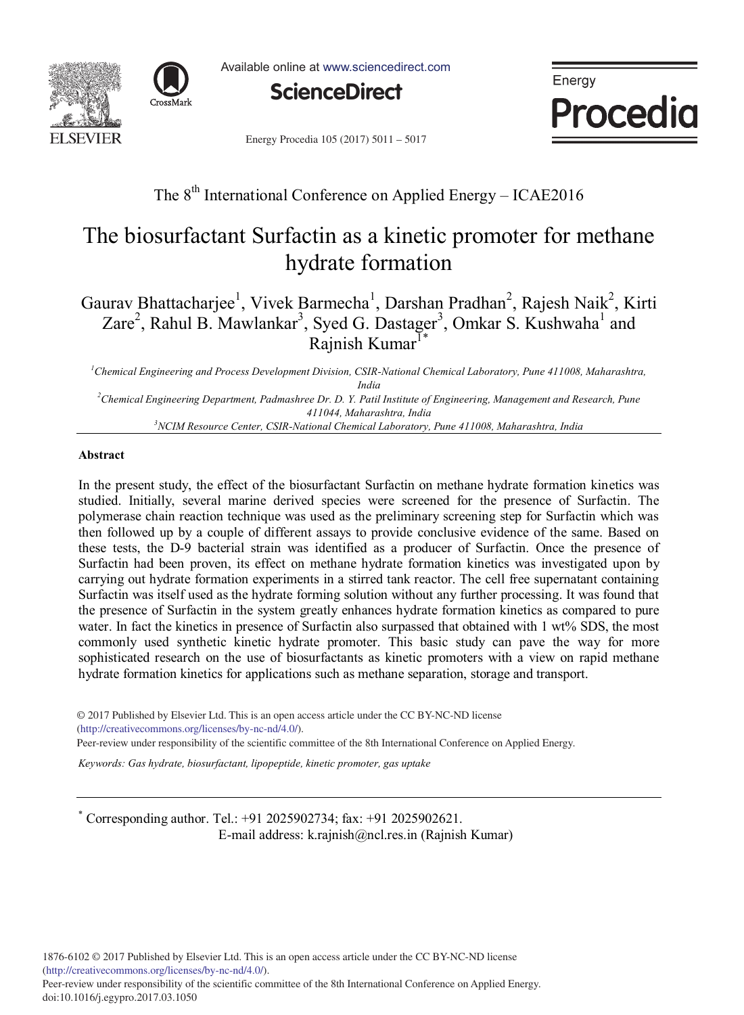



Available online at www.sciencedirect.com



Energy Procedia

Energy Procedia 105 (2017) 5011 - 5017

# The 8<sup>th</sup> International Conference on Applied Energy – ICAE2016

# The biosurfactant Surfactin as a kinetic promoter for methane hydrate formation

Gaurav Bhattacharjee<sup>1</sup>, Vivek Barmecha<sup>1</sup>, Darshan Pradhan<sup>2</sup>, Rajesh Naik<sup>2</sup>, Kirti Zare<sup>2</sup>, Rahul B. Mawlankar<sup>3</sup>, Syed G. Dastager<sup>3</sup>, Omkar S. Kushwaha<sup>1</sup> and Rajnish Kumar<sup>1\*</sup>

*<sup>1</sup>Chemical Engineering and Process Development Division, CSIR-National Chemical Laboratory, Pune 411008, Maharashtra, India <sup>2</sup>Chemical Engineering Department, Padmashree Dr. D. Y. Patil Institute of Engineering, Management and Research, Pune 411044, Maharashtra, India*

*<sup>3</sup>NCIM Resource Center, CSIR-National Chemical Laboratory, Pune 411008, Maharashtra, India*

#### **Abstract**

In the present study, the effect of the biosurfactant Surfactin on methane hydrate formation kinetics was studied. Initially, several marine derived species were screened for the presence of Surfactin. The polymerase chain reaction technique was used as the preliminary screening step for Surfactin which was then followed up by a couple of different assays to provide conclusive evidence of the same. Based on these tests, the D-9 bacterial strain was identified as a producer of Surfactin. Once the presence of Surfactin had been proven, its effect on methane hydrate formation kinetics was investigated upon by carrying out hydrate formation experiments in a stirred tank reactor. The cell free supernatant containing Surfactin was itself used as the hydrate forming solution without any further processing. It was found that the presence of Surfactin in the system greatly enhances hydrate formation kinetics as compared to pure water. In fact the kinetics in presence of Surfactin also surpassed that obtained with 1 wt% SDS, the most commonly used synthetic kinetic hydrate promoter. This basic study can pave the way for more sophisticated research on the use of biosurfactants as kinetic promoters with a view on rapid methane hydrate formation kinetics for applications such as methane separation, storage and transport.

© 2016 The Authors. Published by Elsevier Ltd. © 2017 Published by Elsevier Ltd. This is an open access article under the CC BY-NC-ND license (http://creativecommons.org/licenses/by-nc-nd/4.0/).

(imp://creamvecommons.org/icenses/oy-nc-nd/4.0/).<br>Peer-review under responsibility of the scientific committee of the 8th International Conference on Applied Energy.

*Keywords: Gas hydrate, biosurfactant, lipopeptide, kinetic promoter, gas uptake*

\* Corresponding author. Tel.: +91 2025902734; fax: +91 2025902621. E-mail address: k.rajnish@ncl.res.in (Rajnish Kumar)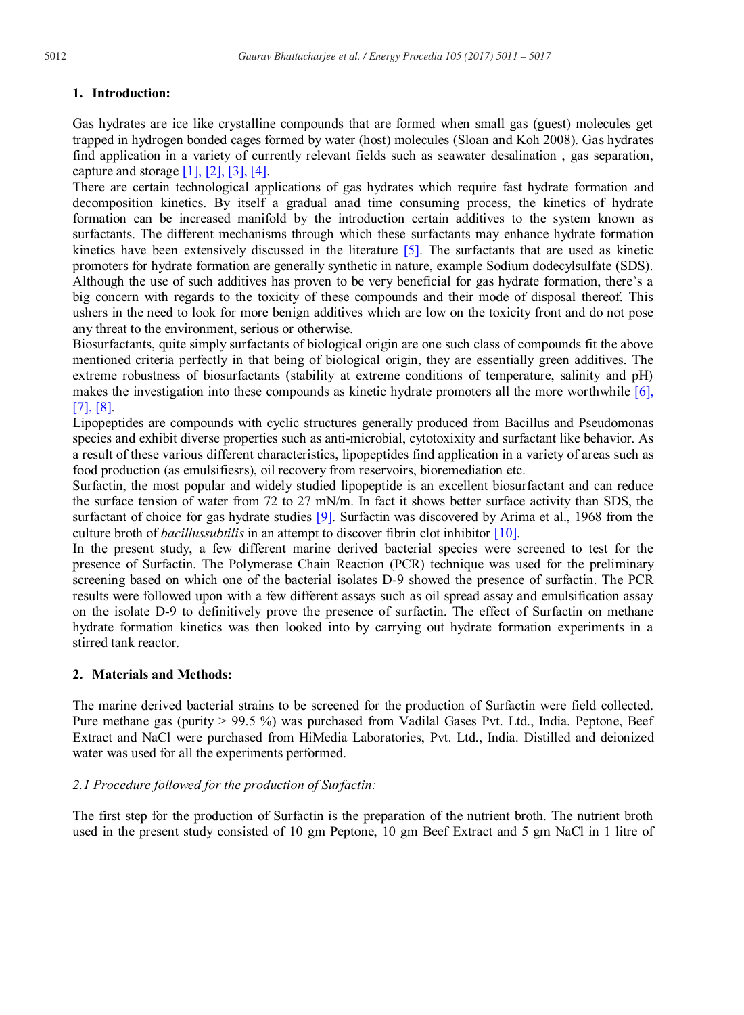# **1. Introduction:**

Gas hydrates are ice like crystalline compounds that are formed when small gas (guest) molecules get trapped in hydrogen bonded cages formed by water (host) molecules (Sloan and Koh 2008). Gas hydrates find application in a variety of currently relevant fields such as seawater desalination , gas separation, capture and storage  $[1]$ ,  $[2]$ ,  $[3]$ ,  $[4]$ .

There are certain technological applications of gas hydrates which require fast hydrate formation and decomposition kinetics. By itself a gradual anad time consuming process, the kinetics of hydrate formation can be increased manifold by the introduction certain additives to the system known as surfactants. The different mechanisms through which these surfactants may enhance hydrate formation kinetics have been extensively discussed in the literature  $[5]$ . The surfactants that are used as kinetic promoters for hydrate formation are generally synthetic in nature, example Sodium dodecylsulfate (SDS). Although the use of such additives has proven to be very beneficial for gas hydrate formation, there's a big concern with regards to the toxicity of these compounds and their mode of disposal thereof. This ushers in the need to look for more benign additives which are low on the toxicity front and do not pose any threat to the environment, serious or otherwise.

Biosurfactants, quite simply surfactants of biological origin are one such class of compounds fit the above mentioned criteria perfectly in that being of biological origin, they are essentially green additives. The extreme robustness of biosurfactants (stability at extreme conditions of temperature, salinity and pH) makes the investigation into these compounds as kinetic hydrate promoters all the more worthwhile [6], [7], [8].

Lipopeptides are compounds with cyclic structures generally produced from Bacillus and Pseudomonas species and exhibit diverse properties such as anti-microbial, cytotoxixity and surfactant like behavior. As a result of these various different characteristics, lipopeptides find application in a variety of areas such as food production (as emulsifiesrs), oil recovery from reservoirs, bioremediation etc.

Surfactin, the most popular and widely studied lipopeptide is an excellent biosurfactant and can reduce the surface tension of water from 72 to 27 mN/m. In fact it shows better surface activity than SDS, the surfactant of choice for gas hydrate studies [9]. Surfactin was discovered by Arima et al., 1968 from the culture broth of *bacillussubtilis* in an attempt to discover fibrin clot inhibitor [10].

In the present study, a few different marine derived bacterial species were screened to test for the presence of Surfactin. The Polymerase Chain Reaction (PCR) technique was used for the preliminary screening based on which one of the bacterial isolates D-9 showed the presence of surfactin. The PCR results were followed upon with a few different assays such as oil spread assay and emulsification assay on the isolate D-9 to definitively prove the presence of surfactin. The effect of Surfactin on methane hydrate formation kinetics was then looked into by carrying out hydrate formation experiments in a stirred tank reactor.

# **2. Materials and Methods:**

The marine derived bacterial strains to be screened for the production of Surfactin were field collected. Pure methane gas (purity > 99.5 %) was purchased from Vadilal Gases Pvt. Ltd., India. Peptone, Beef Extract and NaCl were purchased from HiMedia Laboratories, Pvt. Ltd., India. Distilled and deionized water was used for all the experiments performed.

# *2.1 Procedure followed for the production of Surfactin:*

The first step for the production of Surfactin is the preparation of the nutrient broth. The nutrient broth used in the present study consisted of 10 gm Peptone, 10 gm Beef Extract and 5 gm NaCl in 1 litre of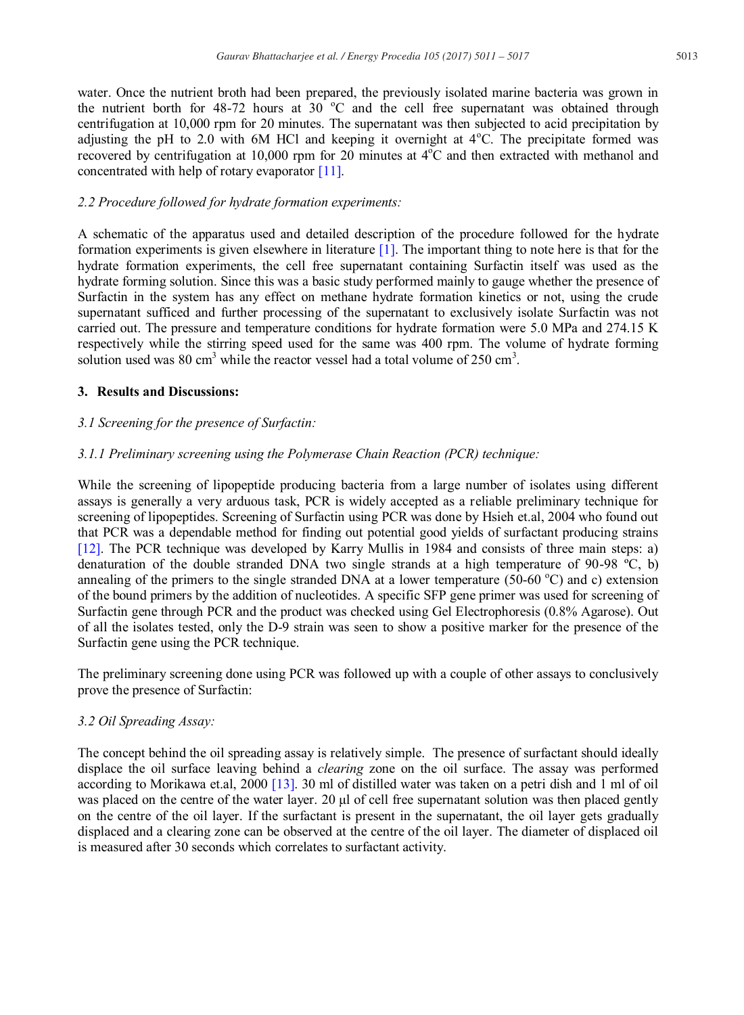water. Once the nutrient broth had been prepared, the previously isolated marine bacteria was grown in the nutrient borth for  $48-72$  hours at  $30^{\circ}$ C and the cell free supernatant was obtained through centrifugation at 10,000 rpm for 20 minutes. The supernatant was then subjected to acid precipitation by adjusting the pH to 2.0 with 6M HCl and keeping it overnight at  $4^{\circ}$ C. The precipitate formed was recovered by centrifugation at 10,000 rpm for 20 minutes at  $4^{\circ}$ C and then extracted with methanol and concentrated with help of rotary evaporator [11].

# *2.2 Procedure followed for hydrate formation experiments:*

A schematic of the apparatus used and detailed description of the procedure followed for the hydrate formation experiments is given elsewhere in literature  $[1]$ . The important thing to note here is that for the hydrate formation experiments, the cell free supernatant containing Surfactin itself was used as the hydrate forming solution. Since this was a basic study performed mainly to gauge whether the presence of Surfactin in the system has any effect on methane hydrate formation kinetics or not, using the crude supernatant sufficed and further processing of the supernatant to exclusively isolate Surfactin was not carried out. The pressure and temperature conditions for hydrate formation were 5.0 MPa and 274.15 K respectively while the stirring speed used for the same was 400 rpm. The volume of hydrate forming solution used was 80 cm<sup>3</sup> while the reactor vessel had a total volume of 250 cm<sup>3</sup>.

# **3. Results and Discussions:**

# *3.1 Screening for the presence of Surfactin:*

# *3.1.1 Preliminary screening using the Polymerase Chain Reaction (PCR) technique:*

While the screening of lipopeptide producing bacteria from a large number of isolates using different assays is generally a very arduous task, PCR is widely accepted as a reliable preliminary technique for screening of lipopeptides. Screening of Surfactin using PCR was done by Hsieh et.al, 2004 who found out that PCR was a dependable method for finding out potential good yields of surfactant producing strains [12]. The PCR technique was developed by Karry Mullis in 1984 and consists of three main steps: a) denaturation of the double stranded DNA two single strands at a high temperature of 90-98 ºC, b) annealing of the primers to the single stranded DNA at a lower temperature (50-60  $^{\circ}$ C) and c) extension of the bound primers by the addition of nucleotides. A specific SFP gene primer was used for screening of Surfactin gene through PCR and the product was checked using Gel Electrophoresis (0.8% Agarose). Out of all the isolates tested, only the D-9 strain was seen to show a positive marker for the presence of the Surfactin gene using the PCR technique.

The preliminary screening done using PCR was followed up with a couple of other assays to conclusively prove the presence of Surfactin:

#### *3.2 Oil Spreading Assay:*

The concept behind the oil spreading assay is relatively simple. The presence of surfactant should ideally displace the oil surface leaving behind a *clearing* zone on the oil surface. The assay was performed according to Morikawa et.al, 2000 [13]. 30 ml of distilled water was taken on a petri dish and 1 ml of oil was placed on the centre of the water layer. 20 μl of cell free supernatant solution was then placed gently on the centre of the oil layer. If the surfactant is present in the supernatant, the oil layer gets gradually displaced and a clearing zone can be observed at the centre of the oil layer. The diameter of displaced oil is measured after 30 seconds which correlates to surfactant activity.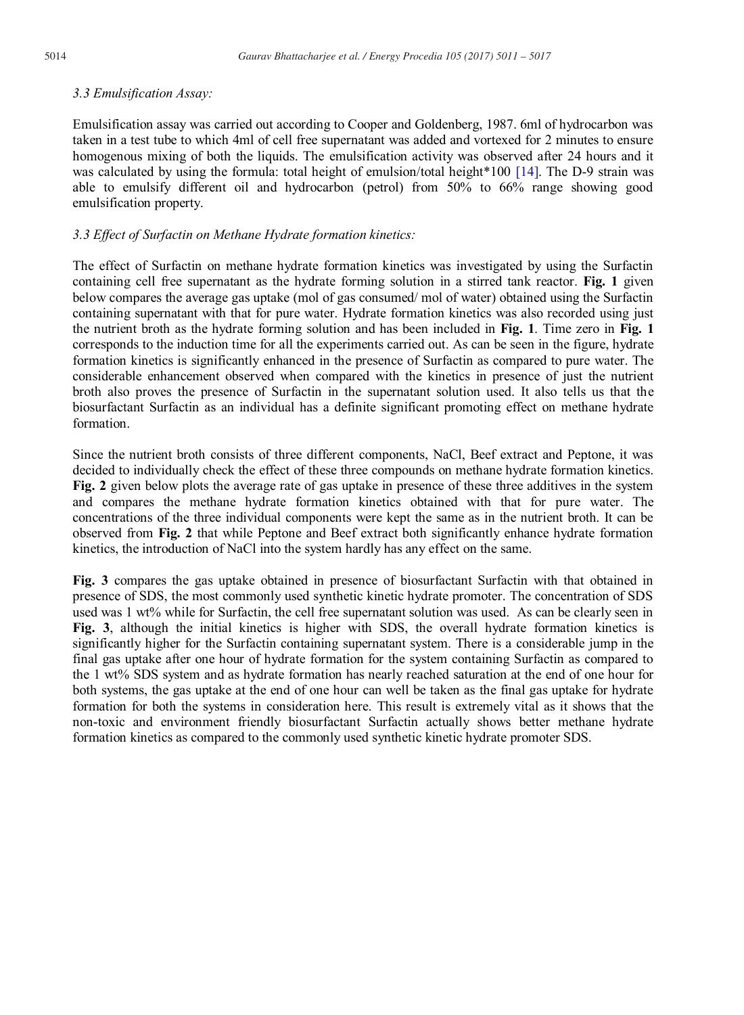#### *3.3 Emulsification Assay:*

Emulsification assay was carried out according to Cooper and Goldenberg, 1987. 6ml of hydrocarbon was taken in a test tube to which 4ml of cell free supernatant was added and vortexed for 2 minutes to ensure homogenous mixing of both the liquids. The emulsification activity was observed after 24 hours and it was calculated by using the formula: total height of emulsion/total height\*100 [14]. The D-9 strain was able to emulsify different oil and hydrocarbon (petrol) from 50% to 66% range showing good emulsification property.

# *3.3 Effect of Surfactin on Methane Hydrate formation kinetics:*

The effect of Surfactin on methane hydrate formation kinetics was investigated by using the Surfactin containing cell free supernatant as the hydrate forming solution in a stirred tank reactor. **Fig. 1** given below compares the average gas uptake (mol of gas consumed/ mol of water) obtained using the Surfactin containing supernatant with that for pure water. Hydrate formation kinetics was also recorded using just the nutrient broth as the hydrate forming solution and has been included in **Fig. 1**. Time zero in **Fig. 1** corresponds to the induction time for all the experiments carried out. As can be seen in the figure, hydrate formation kinetics is significantly enhanced in the presence of Surfactin as compared to pure water. The considerable enhancement observed when compared with the kinetics in presence of just the nutrient broth also proves the presence of Surfactin in the supernatant solution used. It also tells us that the biosurfactant Surfactin as an individual has a definite significant promoting effect on methane hydrate formation.

Since the nutrient broth consists of three different components, NaCl, Beef extract and Peptone, it was decided to individually check the effect of these three compounds on methane hydrate formation kinetics. **Fig. 2** given below plots the average rate of gas uptake in presence of these three additives in the system and compares the methane hydrate formation kinetics obtained with that for pure water. The concentrations of the three individual components were kept the same as in the nutrient broth. It can be observed from **Fig. 2** that while Peptone and Beef extract both significantly enhance hydrate formation kinetics, the introduction of NaCl into the system hardly has any effect on the same.

**Fig. 3** compares the gas uptake obtained in presence of biosurfactant Surfactin with that obtained in presence of SDS, the most commonly used synthetic kinetic hydrate promoter. The concentration of SDS used was 1 wt% while for Surfactin, the cell free supernatant solution was used. As can be clearly seen in **Fig. 3**, although the initial kinetics is higher with SDS, the overall hydrate formation kinetics is significantly higher for the Surfactin containing supernatant system. There is a considerable jump in the final gas uptake after one hour of hydrate formation for the system containing Surfactin as compared to the 1 wt% SDS system and as hydrate formation has nearly reached saturation at the end of one hour for both systems, the gas uptake at the end of one hour can well be taken as the final gas uptake for hydrate formation for both the systems in consideration here. This result is extremely vital as it shows that the non-toxic and environment friendly biosurfactant Surfactin actually shows better methane hydrate formation kinetics as compared to the commonly used synthetic kinetic hydrate promoter SDS.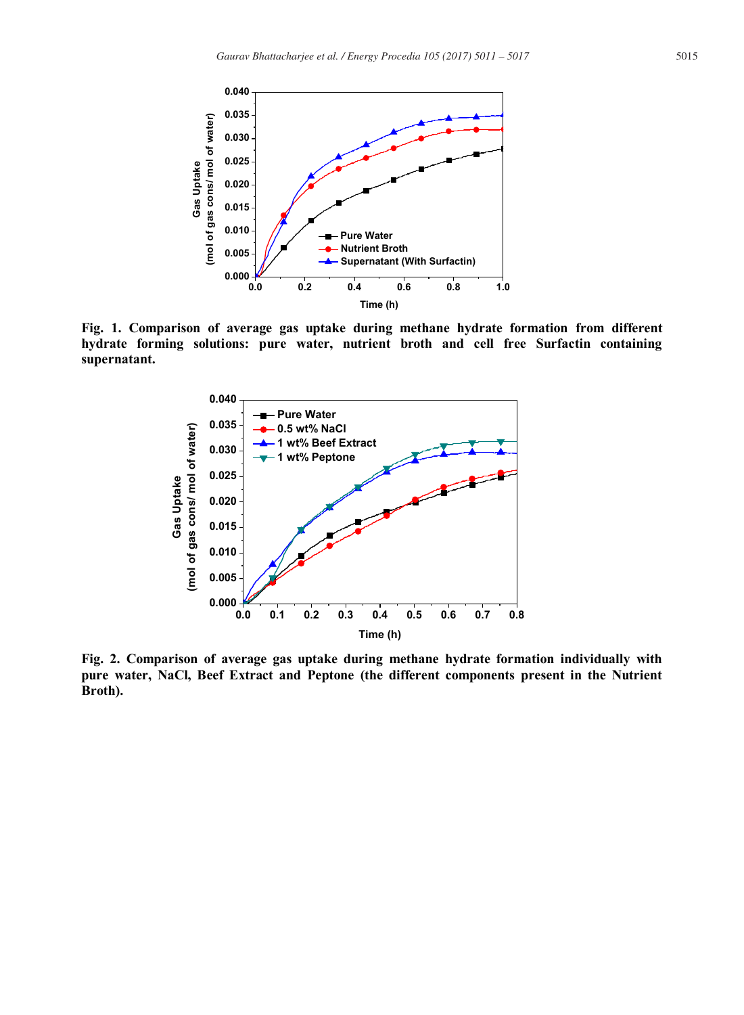

**Fig. 1. Comparison of average gas uptake during methane hydrate formation from different hydrate forming solutions: pure water, nutrient broth and cell free Surfactin containing supernatant.** 



**Fig. 2. Comparison of average gas uptake during methane hydrate formation individually with pure water, NaCl, Beef Extract and Peptone (the different components present in the Nutrient Broth).**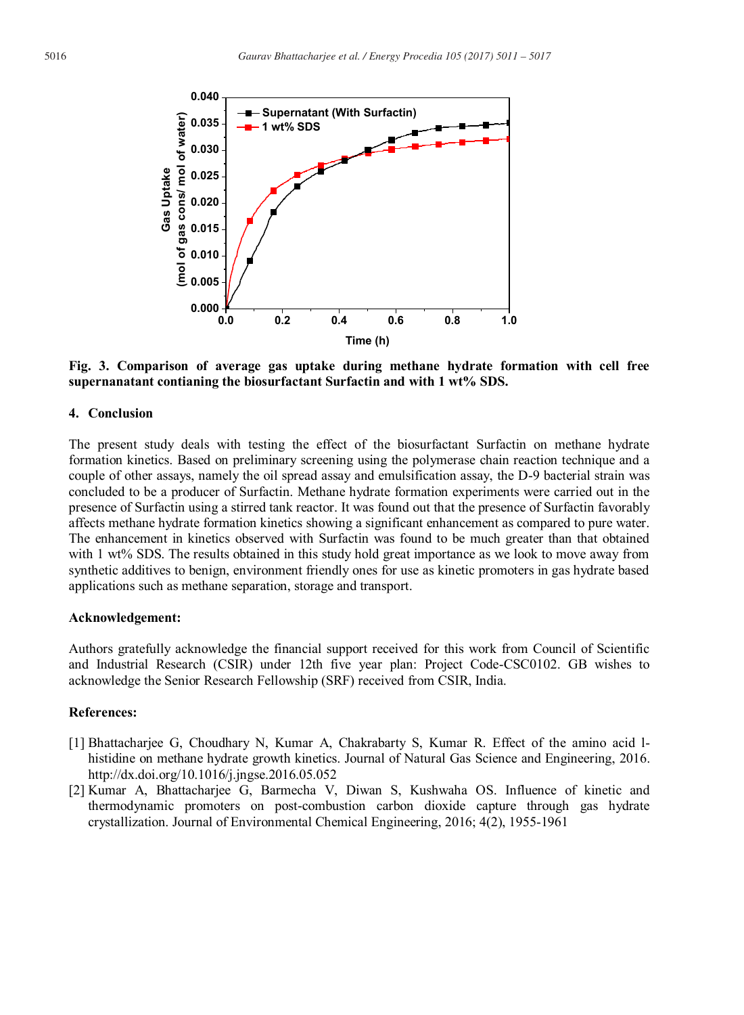

**Fig. 3. Comparison of average gas uptake during methane hydrate formation with cell free supernanatant contianing the biosurfactant Surfactin and with 1 wt% SDS.**

#### **4. Conclusion**

The present study deals with testing the effect of the biosurfactant Surfactin on methane hydrate formation kinetics. Based on preliminary screening using the polymerase chain reaction technique and a couple of other assays, namely the oil spread assay and emulsification assay, the D-9 bacterial strain was concluded to be a producer of Surfactin. Methane hydrate formation experiments were carried out in the presence of Surfactin using a stirred tank reactor. It was found out that the presence of Surfactin favorably affects methane hydrate formation kinetics showing a significant enhancement as compared to pure water. The enhancement in kinetics observed with Surfactin was found to be much greater than that obtained with 1 wt% SDS. The results obtained in this study hold great importance as we look to move away from synthetic additives to benign, environment friendly ones for use as kinetic promoters in gas hydrate based applications such as methane separation, storage and transport.

#### **Acknowledgement:**

Authors gratefully acknowledge the financial support received for this work from Council of Scientific and Industrial Research (CSIR) under 12th five year plan: Project Code-CSC0102. GB wishes to acknowledge the Senior Research Fellowship (SRF) received from CSIR, India.

#### **References:**

- [1] Bhattacharjee G, Choudhary N, Kumar A, Chakrabarty S, Kumar R. Effect of the amino acid lhistidine on methane hydrate growth kinetics. Journal of Natural Gas Science and Engineering, 2016. http://dx.doi.org/10.1016/j.jngse.2016.05.052
- [2] Kumar A, Bhattacharjee G, Barmecha V, Diwan S, Kushwaha OS. Influence of kinetic and thermodynamic promoters on post-combustion carbon dioxide capture through gas hydrate crystallization. Journal of Environmental Chemical Engineering, 2016; 4(2), 1955-1961